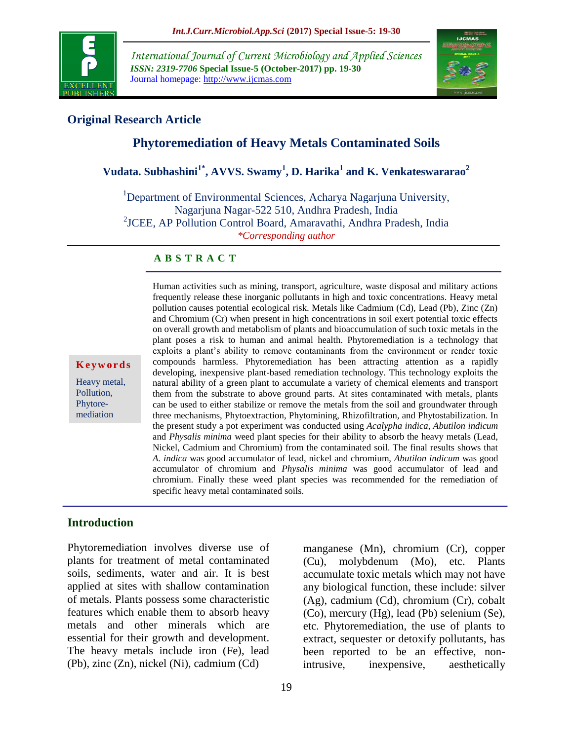

*International Journal of Current Microbiology and Applied Sciences ISSN: 2319-7706* **Special Issue-5 (October-2017) pp. 19-30** Journal homepage: http://www.ijcmas.com



### **Original Research Article**

# **Phytoremediation of Heavy Metals Contaminated Soils**

# **Vudata. Subhashini1\* , AVVS. Swamy<sup>1</sup> , D. Harika<sup>1</sup> and K. Venkateswararao<sup>2</sup>**

<sup>1</sup>Department of Environmental Sciences, Acharya Nagarjuna University, Nagarjuna Nagar-522 510, Andhra Pradesh, India 2 JCEE, AP Pollution Control Board, Amaravathi, Andhra Pradesh, India *\*Corresponding author*

#### **A B S T R A C T**

**Ke y w o r d s**

Heavy metal, Pollution, Phytoremediation

frequently release these inorganic pollutants in high and toxic concentrations. Heavy metal pollution causes potential ecological risk. Metals like Cadmium (Cd), Lead (Pb), Zinc (Zn) and Chromium (Cr) when present in high concentrations in soil exert potential toxic effects on overall growth and metabolism of plants and bioaccumulation of such toxic metals in the plant poses a risk to human and animal health. Phytoremediation is a technology that exploits a plant's ability to remove contaminants from the environment or render toxic compounds harmless. Phytoremediation has been attracting attention as a rapidly developing, inexpensive plant-based remediation technology. This technology exploits the natural ability of a green plant to accumulate a variety of chemical elements and transport them from the substrate to above ground parts. At sites contaminated with metals, plants can be used to either stabilize or remove the metals from the soil and groundwater through three mechanisms, Phytoextraction, Phytomining, Rhizofiltration*,* and Phytostabilization*.* In the present study a pot experiment was conducted using *Acalypha indica, Abutilon indicum* and *Physalis minima* weed plant species for their ability to absorb the heavy metals (Lead, Nickel, Cadmium and Chromium) from the contaminated soil. The final results shows that *A. indica* was good accumulator of lead, nickel and chromium, *Abutilon indicum* was good accumulator of chromium and *Physalis minima* was good accumulator of lead and chromium. Finally these weed plant species was recommended for the remediation of specific heavy metal contaminated soils.

Human activities such as mining, transport, agriculture, waste disposal and military actions

## **Introduction**

Phytoremediation involves diverse use of plants for treatment of metal contaminated soils, sediments, water and air. It is best applied at sites with shallow contamination of metals. Plants possess some characteristic features which enable them to absorb heavy metals and other minerals which are essential for their growth and development. The heavy metals include iron (Fe), lead (Pb), zinc (Zn), nickel (Ni), cadmium (Cd)

manganese (Mn), chromium (Cr), copper (Cu), molybdenum (Mo), etc. Plants accumulate toxic metals which may not have any biological function, these include: silver (Ag), cadmium (Cd), chromium (Cr), cobalt (Co), mercury (Hg), lead (Pb) selenium (Se), etc. Phytoremediation, the use of plants to extract, sequester or detoxify pollutants, has been reported to be an effective, nonintrusive, inexpensive, aesthetically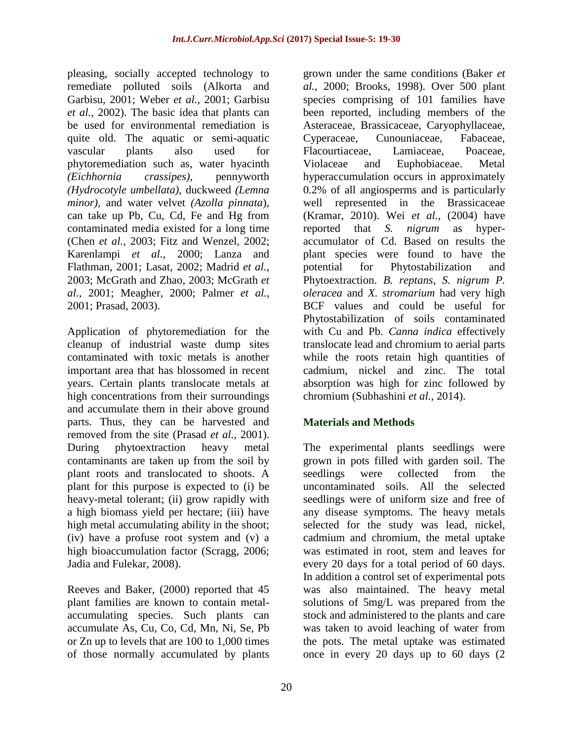pleasing, socially accepted technology to remediate polluted soils (Alkorta and Garbisu, 2001; Weber *et al.,* 2001; Garbisu *et al.,* 2002). The basic idea that plants can be used for environmental remediation is quite old. The aquatic or semi-aquatic vascular plants also used for phytoremediation such as, water hyacinth *(Eichhornia crassipes)*, pennyworth *(Hydrocotyle umbellata),* duckweed *(Lemna minor),* and water velvet *(Azolla pinnata*), can take up Pb, Cu, Cd, Fe and Hg from contaminated media existed for a long time (Chen *et al.,* 2003; Fitz and Wenzel, 2002; Karenlampi *et al.,* 2000; Lanza and Flathman, 2001; Lasat, 2002; Madrid *et al.,* 2003; McGrath and Zhao, 2003; McGrath *et al.,* 2001; Meagher, 2000; Palmer *et al.,* 2001; Prasad, 2003).

Application of phytoremediation for the cleanup of industrial waste dump sites contaminated with toxic metals is another important area that has blossomed in recent years. Certain plants translocate metals at high concentrations from their surroundings and accumulate them in their above ground parts. Thus, they can be harvested and removed from the site (Prasad *et al.,* 2001). During phytoextraction heavy metal contaminants are taken up from the soil by plant roots and translocated to shoots. A plant for this purpose is expected to (i) be heavy-metal tolerant; (ii) grow rapidly with a high biomass yield per hectare; (iii) have high metal accumulating ability in the shoot; (iv) have a profuse root system and (v) a high bioaccumulation factor (Scragg, 2006; Jadia and Fulekar, 2008).

Reeves and Baker, (2000) reported that 45 plant families are known to contain metalaccumulating species. Such plants can accumulate As, Cu, Co, Cd, Mn, Ni, Se, Pb or Zn up to levels that are 100 to 1,000 times of those normally accumulated by plants

grown under the same conditions (Baker *et al.,* 2000; Brooks, 1998). Over 500 plant species comprising of 101 families have been reported, including members of the Asteraceae, Brassicaceae, Caryophyllaceae, Cyperaceae, Cunouniaceae, Fabaceae, Flacourtiaceae, Lamiaceae, Poaceae, Violaceae and Euphobiaceae. Metal hyperaccumulation occurs in approximately 0.2% of all angiosperms and is particularly well represented in the Brassicaceae (Kramar, 2010). Wei *et al.,* (2004) have reported that *S. nigrum* as hyperaccumulator of Cd. Based on results the plant species were found to have the potential for Phytostabilization and Phytoextraction. *B. reptans*, *S. nigrum P. oleracea* and *X. stromarium* had very high BCF values and could be useful for Phytostabilization of soils contaminated with Cu and Pb. *Canna indica* effectively translocate lead and chromium to aerial parts while the roots retain high quantities of cadmium, nickel and zinc. The total absorption was high for zinc followed by chromium (Subhashini *et al.,* 2014).

# **Materials and Methods**

The experimental plants seedlings were grown in pots filled with garden soil. The seedlings were collected from the uncontaminated soils. All the selected seedlings were of uniform size and free of any disease symptoms. The heavy metals selected for the study was lead, nickel, cadmium and chromium, the metal uptake was estimated in root, stem and leaves for every 20 days for a total period of 60 days. In addition a control set of experimental pots was also maintained. The heavy metal solutions of 5mg/L was prepared from the stock and administered to the plants and care was taken to avoid leaching of water from the pots. The metal uptake was estimated once in every 20 days up to 60 days (2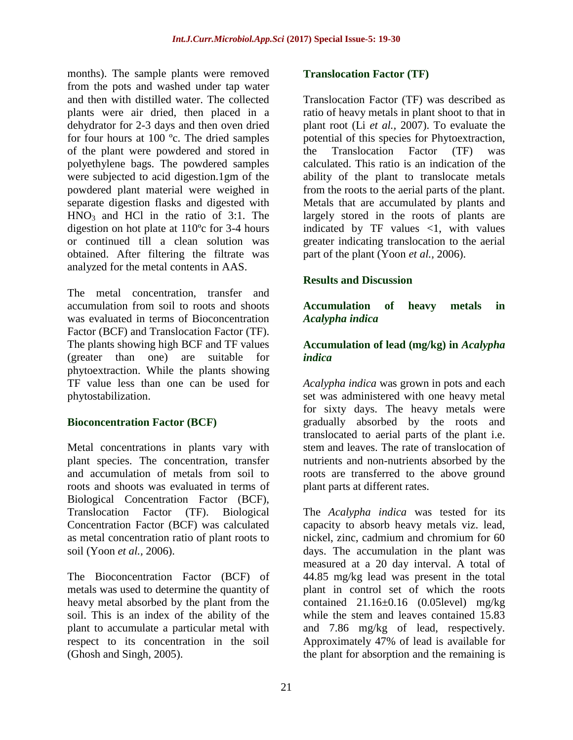months). The sample plants were removed from the pots and washed under tap water and then with distilled water. The collected plants were air dried, then placed in a dehydrator for 2-3 days and then oven dried for four hours at 100 ºc. The dried samples of the plant were powdered and stored in polyethylene bags. The powdered samples were subjected to acid digestion.1gm of the powdered plant material were weighed in separate digestion flasks and digested with  $HNO<sub>3</sub>$  and HCl in the ratio of 3:1. The digestion on hot plate at 110ºc for 3-4 hours or continued till a clean solution was obtained. After filtering the filtrate was analyzed for the metal contents in AAS.

The metal concentration, transfer and accumulation from soil to roots and shoots was evaluated in terms of Bioconcentration Factor (BCF) and Translocation Factor (TF). The plants showing high BCF and TF values (greater than one) are suitable for phytoextraction. While the plants showing TF value less than one can be used for phytostabilization.

# **Bioconcentration Factor (BCF)**

Metal concentrations in plants vary with plant species. The concentration, transfer and accumulation of metals from soil to roots and shoots was evaluated in terms of Biological Concentration Factor (BCF), Translocation Factor (TF). Biological Concentration Factor (BCF) was calculated as metal concentration ratio of plant roots to soil (Yoon *et al.,* 2006).

The Bioconcentration Factor (BCF) of metals was used to determine the quantity of heavy metal absorbed by the plant from the soil. This is an index of the ability of the plant to accumulate a particular metal with respect to its concentration in the soil (Ghosh and Singh, 2005).

#### **Translocation Factor (TF)**

Translocation Factor (TF) was described as ratio of heavy metals in plant shoot to that in plant root (Li *et al.,* 2007). To evaluate the potential of this species for Phytoextraction, the Translocation Factor (TF) was calculated. This ratio is an indication of the ability of the plant to translocate metals from the roots to the aerial parts of the plant. Metals that are accumulated by plants and largely stored in the roots of plants are indicated by TF values  $\langle 1$ , with values greater indicating translocation to the aerial part of the plant (Yoon *et al.,* 2006).

# **Results and Discussion**

### **Accumulation of heavy metals in**  *Acalypha indica*

## **Accumulation of lead (mg/kg) in** *Acalypha indica*

*Acalypha indica* was grown in pots and each set was administered with one heavy metal for sixty days. The heavy metals were gradually absorbed by the roots and translocated to aerial parts of the plant i.e. stem and leaves. The rate of translocation of nutrients and non-nutrients absorbed by the roots are transferred to the above ground plant parts at different rates.

The *Acalypha indica* was tested for its capacity to absorb heavy metals viz. lead, nickel, zinc, cadmium and chromium for 60 days. The accumulation in the plant was measured at a 20 day interval. A total of 44.85 mg/kg lead was present in the total plant in control set of which the roots contained  $21.16\pm0.16$  (0.05level) mg/kg while the stem and leaves contained 15.83 and 7.86 mg/kg of lead, respectively. Approximately 47% of lead is available for the plant for absorption and the remaining is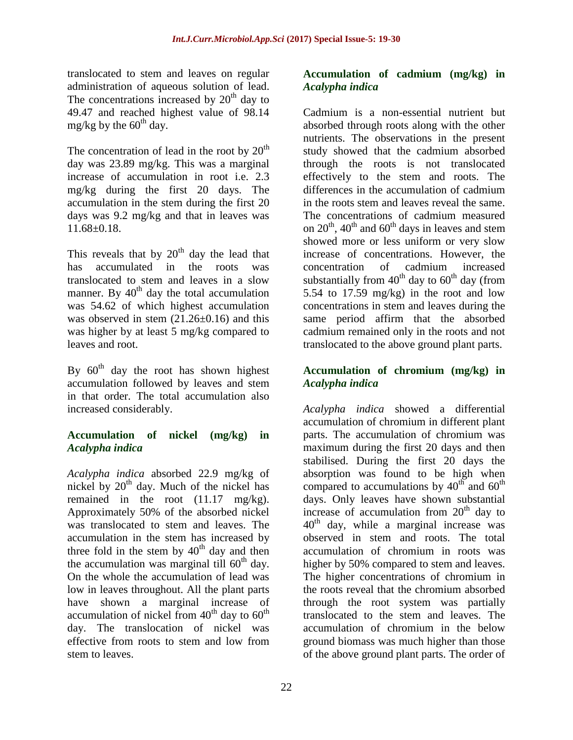translocated to stem and leaves on regular administration of aqueous solution of lead. The concentrations increased by  $20<sup>th</sup>$  day to 49.47 and reached highest value of 98.14 mg/kg by the  $60<sup>th</sup>$  day.

The concentration of lead in the root by  $20<sup>th</sup>$ day was 23.89 mg/kg. This was a marginal increase of accumulation in root i.e. 2.3 mg/kg during the first 20 days. The accumulation in the stem during the first 20 days was 9.2 mg/kg and that in leaves was 11.68±0.18.

This reveals that by  $20<sup>th</sup>$  day the lead that has accumulated in the roots was translocated to stem and leaves in a slow manner. By  $40<sup>th</sup>$  day the total accumulation was 54.62 of which highest accumulation was observed in stem  $(21.26\pm0.16)$  and this was higher by at least 5 mg/kg compared to leaves and root.

By  $60<sup>th</sup>$  day the root has shown highest accumulation followed by leaves and stem in that order. The total accumulation also increased considerably.

## **Accumulation of nickel (mg/kg) in**  *Acalypha indica*

*Acalypha indica* absorbed 22.9 mg/kg of nickel by  $20<sup>th</sup>$  day. Much of the nickel has remained in the root (11.17 mg/kg). Approximately 50% of the absorbed nickel was translocated to stem and leaves. The accumulation in the stem has increased by three fold in the stem by  $40<sup>th</sup>$  day and then the accumulation was marginal till  $60<sup>th</sup>$  day. On the whole the accumulation of lead was low in leaves throughout. All the plant parts have shown a marginal increase of accumulation of nickel from  $40<sup>th</sup>$  day to  $60<sup>th</sup>$ day. The translocation of nickel was effective from roots to stem and low from stem to leaves.

## **Accumulation of cadmium (mg/kg) in**  *Acalypha indica*

Cadmium is a non-essential nutrient but absorbed through roots along with the other nutrients. The observations in the present study showed that the cadmium absorbed through the roots is not translocated effectively to the stem and roots. The differences in the accumulation of cadmium in the roots stem and leaves reveal the same. The concentrations of cadmium measured on  $20^{th}$ ,  $40^{th}$  and  $60^{th}$  days in leaves and stem showed more or less uniform or very slow increase of concentrations. However, the concentration of cadmium increased substantially from  $40^{th}$  day to  $60^{th}$  day (from 5.54 to 17.59 mg/kg) in the root and low concentrations in stem and leaves during the same period affirm that the absorbed cadmium remained only in the roots and not translocated to the above ground plant parts.

# **Accumulation of chromium (mg/kg) in**  *Acalypha indica*

*Acalypha indica* showed a differential accumulation of chromium in different plant parts. The accumulation of chromium was maximum during the first 20 days and then stabilised. During the first 20 days the absorption was found to be high when compared to accumulations by  $40^{th}$  and  $60^{th}$ days. Only leaves have shown substantial increase of accumulation from  $20<sup>th</sup>$  day to  $40<sup>th</sup>$  day, while a marginal increase was observed in stem and roots. The total accumulation of chromium in roots was higher by 50% compared to stem and leaves. The higher concentrations of chromium in the roots reveal that the chromium absorbed through the root system was partially translocated to the stem and leaves. The accumulation of chromium in the below ground biomass was much higher than those of the above ground plant parts. The order of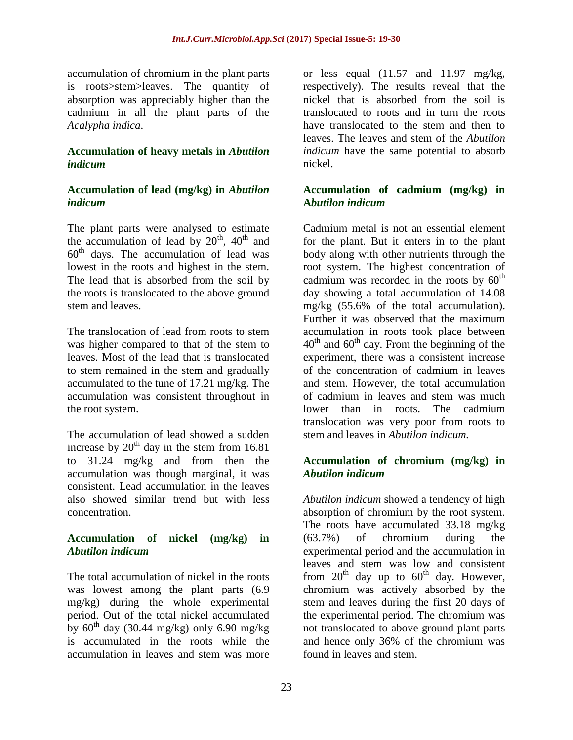accumulation of chromium in the plant parts is roots>stem>leaves. The quantity of absorption was appreciably higher than the cadmium in all the plant parts of the *Acalypha indica*.

## **Accumulation of heavy metals in** *Abutilon indicum*

## **Accumulation of lead (mg/kg) in** *Abutilon indicum*

The plant parts were analysed to estimate the accumulation of lead by  $20<sup>th</sup>$ ,  $40<sup>th</sup>$  and  $60<sup>th</sup>$  days. The accumulation of lead was lowest in the roots and highest in the stem. The lead that is absorbed from the soil by the roots is translocated to the above ground stem and leaves.

The translocation of lead from roots to stem was higher compared to that of the stem to leaves. Most of the lead that is translocated to stem remained in the stem and gradually accumulated to the tune of 17.21 mg/kg. The accumulation was consistent throughout in the root system.

The accumulation of lead showed a sudden increase by  $20^{th}$  day in the stem from 16.81 to 31.24 mg/kg and from then the accumulation was though marginal, it was consistent. Lead accumulation in the leaves also showed similar trend but with less concentration.

# **Accumulation of nickel (mg/kg) in**  *Abutilon indicum*

The total accumulation of nickel in the roots was lowest among the plant parts (6.9 mg/kg) during the whole experimental period. Out of the total nickel accumulated by  $60^{th}$  day (30.44 mg/kg) only 6.90 mg/kg is accumulated in the roots while the accumulation in leaves and stem was more

or less equal  $(11.57 \text{ and } 11.97 \text{ mg/kg})$ , respectively). The results reveal that the nickel that is absorbed from the soil is translocated to roots and in turn the roots have translocated to the stem and then to leaves. The leaves and stem of the *Abutilon indicum* have the same potential to absorb nickel.

## **Accumulation of cadmium (mg/kg) in A***butilon indicum*

Cadmium metal is not an essential element for the plant. But it enters in to the plant body along with other nutrients through the root system. The highest concentration of cadmium was recorded in the roots by  $60<sup>th</sup>$ day showing a total accumulation of 14.08 mg/kg (55.6% of the total accumulation). Further it was observed that the maximum accumulation in roots took place between  $40^{\text{th}}$  and  $60^{\text{th}}$  day. From the beginning of the experiment, there was a consistent increase of the concentration of cadmium in leaves and stem. However, the total accumulation of cadmium in leaves and stem was much lower than in roots. The cadmium translocation was very poor from roots to stem and leaves in *Abutilon indicum.*

## **Accumulation of chromium (mg/kg) in**  *Abutilon indicum*

*Abutilon indicum* showed a tendency of high absorption of chromium by the root system. The roots have accumulated 33.18 mg/kg (63.7%) of chromium during the experimental period and the accumulation in leaves and stem was low and consistent from  $20^{th}$  day up to  $60^{th}$  day. However, chromium was actively absorbed by the stem and leaves during the first 20 days of the experimental period. The chromium was not translocated to above ground plant parts and hence only 36% of the chromium was found in leaves and stem.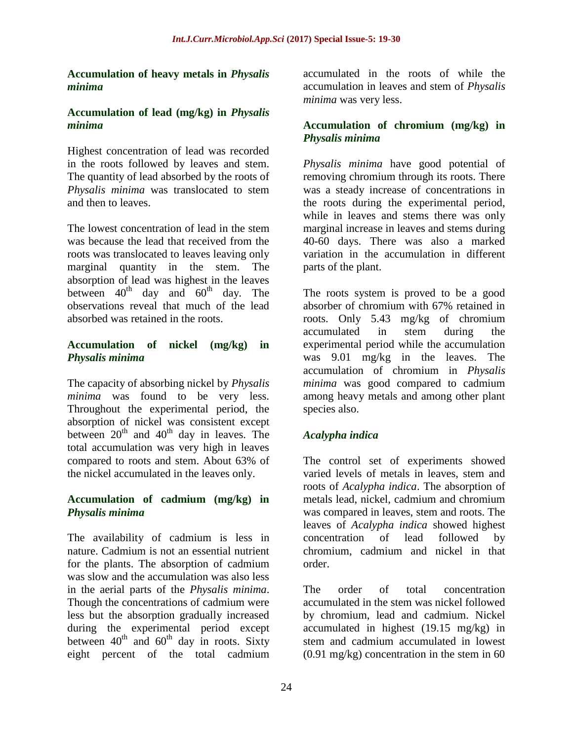#### **Accumulation of heavy metals in** *Physalis minima*

#### **Accumulation of lead (mg/kg) in** *Physalis minima*

Highest concentration of lead was recorded in the roots followed by leaves and stem. The quantity of lead absorbed by the roots of *Physalis minima* was translocated to stem and then to leaves.

The lowest concentration of lead in the stem was because the lead that received from the roots was translocated to leaves leaving only marginal quantity in the stem. The absorption of lead was highest in the leaves between  $40^{th}$  day and  $60^{th}$  day. The observations reveal that much of the lead absorbed was retained in the roots.

### **Accumulation of nickel (mg/kg) in**  *Physalis minima*

The capacity of absorbing nickel by *Physalis minima* was found to be very less. Throughout the experimental period, the absorption of nickel was consistent except between  $20^{th}$  and  $40^{th}$  day in leaves. The total accumulation was very high in leaves compared to roots and stem. About 63% of the nickel accumulated in the leaves only.

#### **Accumulation of cadmium (mg/kg) in**  *Physalis minima*

The availability of cadmium is less in nature. Cadmium is not an essential nutrient for the plants. The absorption of cadmium was slow and the accumulation was also less in the aerial parts of the *Physalis minima*. Though the concentrations of cadmium were less but the absorption gradually increased during the experimental period except between  $40<sup>th</sup>$  and  $60<sup>th</sup>$  day in roots. Sixty eight percent of the total cadmium

accumulated in the roots of while the accumulation in leaves and stem of *Physalis minima* was very less.

## **Accumulation of chromium (mg/kg) in**  *Physalis minima*

*Physalis minima* have good potential of removing chromium through its roots. There was a steady increase of concentrations in the roots during the experimental period, while in leaves and stems there was only marginal increase in leaves and stems during 40-60 days. There was also a marked variation in the accumulation in different parts of the plant.

The roots system is proved to be a good absorber of chromium with 67% retained in roots. Only 5.43 mg/kg of chromium accumulated in stem during the experimental period while the accumulation was 9.01 mg/kg in the leaves. The accumulation of chromium in *Physalis minima* was good compared to cadmium among heavy metals and among other plant species also.

# *Acalypha indica*

The control set of experiments showed varied levels of metals in leaves, stem and roots of *Acalypha indica*. The absorption of metals lead, nickel, cadmium and chromium was compared in leaves, stem and roots. The leaves of *Acalypha indica* showed highest concentration of lead followed by chromium, cadmium and nickel in that order.

The order of total concentration accumulated in the stem was nickel followed by chromium, lead and cadmium. Nickel accumulated in highest (19.15 mg/kg) in stem and cadmium accumulated in lowest (0.91 mg/kg) concentration in the stem in 60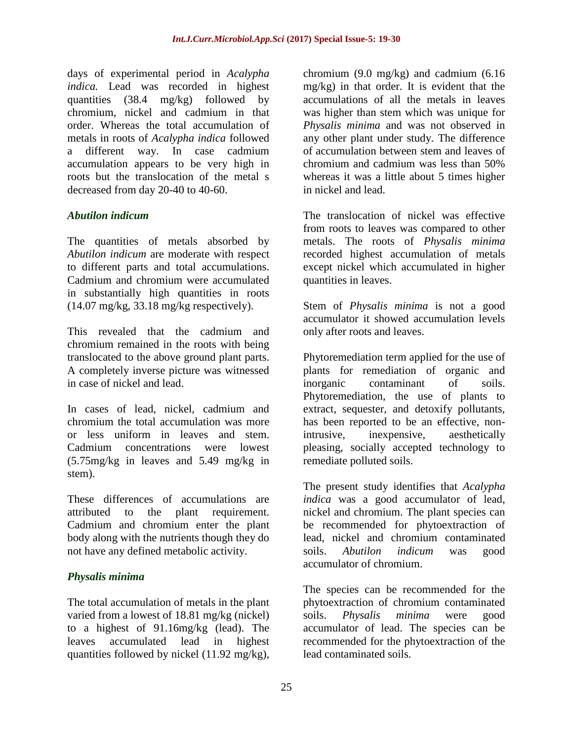days of experimental period in *Acalypha indica.* Lead was recorded in highest quantities (38.4 mg/kg) followed by chromium, nickel and cadmium in that order. Whereas the total accumulation of metals in roots of *Acalypha indica* followed a different way. In case cadmium accumulation appears to be very high in roots but the translocation of the metal s decreased from day 20-40 to 40-60.

# *Abutilon indicum*

The quantities of metals absorbed by *Abutilon indicum* are moderate with respect to different parts and total accumulations. Cadmium and chromium were accumulated in substantially high quantities in roots  $(14.07 \text{ mg/kg}, 33.18 \text{ mg/kg} \text{ respectively}).$ 

This revealed that the cadmium and chromium remained in the roots with being translocated to the above ground plant parts. A completely inverse picture was witnessed in case of nickel and lead.

In cases of lead, nickel, cadmium and chromium the total accumulation was more or less uniform in leaves and stem. Cadmium concentrations were lowest (5.75mg/kg in leaves and 5.49 mg/kg in stem).

These differences of accumulations are attributed to the plant requirement. Cadmium and chromium enter the plant body along with the nutrients though they do not have any defined metabolic activity.

## *Physalis minima*

The total accumulation of metals in the plant varied from a lowest of 18.81 mg/kg (nickel) to a highest of 91.16mg/kg (lead). The leaves accumulated lead in highest quantities followed by nickel (11.92 mg/kg),

chromium (9.0 mg/kg) and cadmium (6.16 mg/kg) in that order. It is evident that the accumulations of all the metals in leaves was higher than stem which was unique for *Physalis minima* and was not observed in any other plant under study. The difference of accumulation between stem and leaves of chromium and cadmium was less than 50% whereas it was a little about 5 times higher in nickel and lead.

The translocation of nickel was effective from roots to leaves was compared to other metals. The roots of *Physalis minima* recorded highest accumulation of metals except nickel which accumulated in higher quantities in leaves.

Stem of *Physalis minima* is not a good accumulator it showed accumulation levels only after roots and leaves.

Phytoremediation term applied for the use of plants for remediation of organic and inorganic contaminant of soils. Phytoremediation, the use of plants to extract, sequester, and detoxify pollutants, has been reported to be an effective, nonintrusive, inexpensive, aesthetically pleasing, socially accepted technology to remediate polluted soils.

The present study identifies that *Acalypha indica* was a good accumulator of lead, nickel and chromium. The plant species can be recommended for phytoextraction of lead, nickel and chromium contaminated soils. *Abutilon indicum* was good accumulator of chromium.

The species can be recommended for the phytoextraction of chromium contaminated soils. *Physalis minima* were good accumulator of lead. The species can be recommended for the phytoextraction of the lead contaminated soils.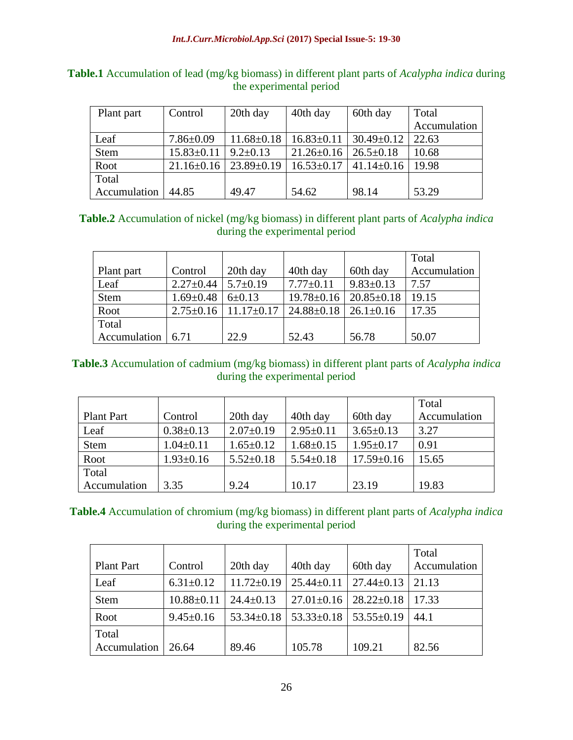| Plant part   | Control          | 20th day         | 40th day         | 60th day         | Total        |
|--------------|------------------|------------------|------------------|------------------|--------------|
|              |                  |                  |                  |                  | Accumulation |
| Leaf         | $7.86 \pm 0.09$  | $11.68 \pm 0.18$ | $16.83 \pm 0.11$ | $30.49 \pm 0.12$ | 22.63        |
| <b>Stem</b>  | $15.83 \pm 0.11$ | $9.2 \pm 0.13$   | $21.26 \pm 0.16$ | $26.5 \pm 0.18$  | 10.68        |
| Root         | $21.16 \pm 0.16$ | $23.89 \pm 0.19$ | $16.53 \pm 0.17$ | $41.14 \pm 0.16$ | 19.98        |
| Total        |                  |                  |                  |                  |              |
| Accumulation | 44.85            | 49.47            | 54.62            | 98.14            | 53.29        |

# **Table.1** Accumulation of lead (mg/kg biomass) in different plant parts of *Acalypha indica* during the experimental period

# **Table.2** Accumulation of nickel (mg/kg biomass) in different plant parts of *Acalypha indica*  during the experimental period

|                           |                                |                                    |                                    |                  | Total        |
|---------------------------|--------------------------------|------------------------------------|------------------------------------|------------------|--------------|
| Plant part                | Control                        | 20th day                           | 40th day                           | 60th day         | Accumulation |
| Leaf                      | $2.27 \pm 0.44$ 5.7 $\pm$ 0.19 |                                    | $7.77 \pm 0.11$                    | $9.83 \pm 0.13$  | 7.57         |
| Stem                      | $1.69 \pm 0.48$                | $6 \pm 0.13$                       | $19.78 \pm 0.16$                   | $20.85 \pm 0.18$ | 19.15        |
| Root                      |                                | $2.75 \pm 0.16$   $11.17 \pm 0.17$ | $24.88 \pm 0.18$   26.1 $\pm$ 0.16 |                  | 17.35        |
| Total                     |                                |                                    |                                    |                  |              |
| Accumulation $\vert$ 6.71 |                                | 22.9                               | 52.43                              | 56.78            | 50.07        |

## **Table.3** Accumulation of cadmium (mg/kg biomass) in different plant parts of *Acalypha indica* during the experimental period

|                   |                 |                 |                 |                  | Total        |
|-------------------|-----------------|-----------------|-----------------|------------------|--------------|
| <b>Plant Part</b> | Control         | 20th day        | 40th day        | 60th day         | Accumulation |
| Leaf              | $0.38 \pm 0.13$ | $2.07 \pm 0.19$ | $2.95 \pm 0.11$ | $3.65 \pm 0.13$  | 3.27         |
| <b>Stem</b>       | $1.04 \pm 0.11$ | $1.65 \pm 0.12$ | $1.68 \pm 0.15$ | $1.95 \pm 0.17$  | 0.91         |
| Root              | $1.93 \pm 0.16$ | $5.52 \pm 0.18$ | $5.54 \pm 0.18$ | $17.59 \pm 0.16$ | 15.65        |
| Total             |                 |                 |                 |                  |              |
| Accumulation      | 3.35            | 9.24            | 10.17           | 23.19            | 19.83        |

# **Table.4** Accumulation of chromium (mg/kg biomass) in different plant parts of *Acalypha indica* during the experimental period

| <b>Plant Part</b>     | Control          | 20th day         | 40th day                            | 60th day         | Total<br>Accumulation |
|-----------------------|------------------|------------------|-------------------------------------|------------------|-----------------------|
| Leaf                  | $6.31 \pm 0.12$  | $11.72 \pm 0.19$ | $25.44 \pm 0.11$                    | $27.44 \pm 0.13$ | 21.13                 |
| <b>Stem</b>           | $10.88 \pm 0.11$ | $24.4 \pm 0.13$  | $27.01 \pm 0.16$   $28.22 \pm 0.18$ |                  | 17.33                 |
| Root                  | $9.45 \pm 0.16$  | $53.34 \pm 0.18$ | $53.33 \pm 0.18$   $53.55 \pm 0.19$ |                  | 44.1                  |
| Total<br>Accumulation | 26.64            | 89.46            | 105.78                              | 109.21           | 82.56                 |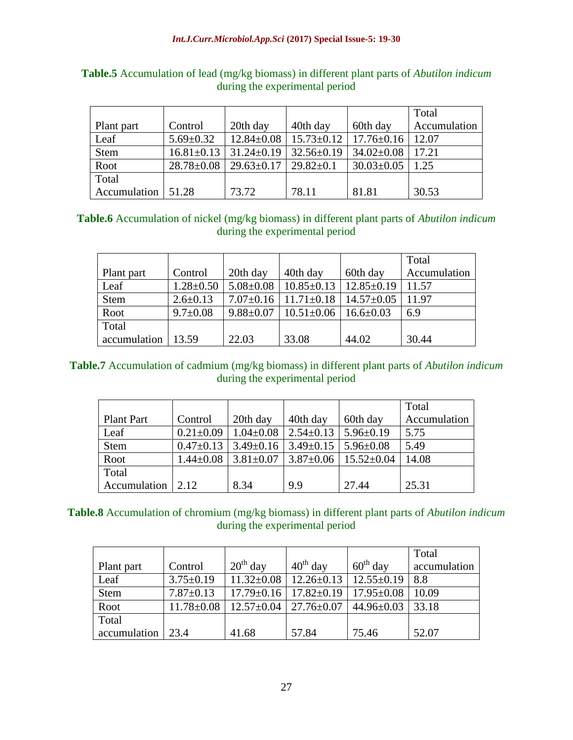|                      |                 |                                                       |                                                                                 |                       | Total        |
|----------------------|-----------------|-------------------------------------------------------|---------------------------------------------------------------------------------|-----------------------|--------------|
| Plant part           | Control         | 20th day                                              | 40th day                                                                        | 60th day              | Accumulation |
| Leaf                 | $5.69 \pm 0.32$ |                                                       | $12.84 \pm 0.08$   $15.73 \pm 0.12$   $17.76 \pm 0.16$   $12.07$                |                       |              |
| <b>Stem</b>          |                 |                                                       | $16.81\pm0.13$   31.24 $\pm$ 0.19   32.56 $\pm$ 0.19   34.02 $\pm$ 0.08   17.21 |                       |              |
| Root                 |                 | $28.78 \pm 0.08$   29.63 $\pm$ 0.17   29.82 $\pm$ 0.1 |                                                                                 | $30.03 \pm 0.05$ 1.25 |              |
| Total                |                 |                                                       |                                                                                 |                       |              |
| Accumulation   51.28 |                 | 73.72                                                 | 78.11                                                                           | 81.81                 | 30.53        |

# **Table.5** Accumulation of lead (mg/kg biomass) in different plant parts of *Abutilon indicum* during the experimental period

## **Table.6** Accumulation of nickel (mg/kg biomass) in different plant parts of *Abutilon indicum*  during the experimental period

|                        |                 |                 |                                    |                  | Total        |
|------------------------|-----------------|-----------------|------------------------------------|------------------|--------------|
| Plant part             | Control         | 20th day        | 40th day                           | 60th day         | Accumulation |
| Leaf                   | $1.28 \pm 0.50$ | $5.08 \pm 0.08$ | $10.85 \pm 0.13$ 12.85 $\pm$ 0.19  |                  | 11.57        |
| <b>Stem</b>            | $2.6 \pm 0.13$  |                 | $7.07\pm0.16$   11.71 $\pm$ 0.18   | $14.57 \pm 0.05$ | 11.97        |
| Root                   | $9.7 \pm 0.08$  | $9.88 \pm 0.07$ | $10.51 \pm 0.06$   $16.6 \pm 0.03$ |                  | 6.9          |
| Total                  |                 |                 |                                    |                  |              |
| $accumulation$   13.59 |                 | 22.03           | 33.08                              | 44.02            | 30.44        |

## **Table.7** Accumulation of cadmium (mg/kg biomass) in different plant parts of *Abutilon indicum* during the experimental period

|                   |                 |                 |                                               |                                                      | Total        |
|-------------------|-----------------|-----------------|-----------------------------------------------|------------------------------------------------------|--------------|
| <b>Plant Part</b> | Control         | 20th day        | 40th day                                      | 60th day                                             | Accumulation |
| Leaf              | $0.21 \pm 0.09$ | $1.04 \pm 0.08$ | $2.54\pm0.13$ 5.96 $\pm$ 0.19                 |                                                      | 5.75         |
| Stem              | $0.47 \pm 0.13$ |                 | $3.49\pm0.16$   $3.49\pm0.15$   $5.96\pm0.08$ |                                                      | 5.49         |
| Root              | $1.44 \pm 0.08$ |                 |                                               | $3.81 \pm 0.07$   $3.87 \pm 0.06$   $15.52 \pm 0.04$ | 14.08        |
| Total             |                 |                 |                                               |                                                      |              |
| Accumulation 2.12 |                 | 8.34            | 9.9                                           | 27.44                                                | 25.31        |

## **Table.8** Accumulation of chromium (mg/kg biomass) in different plant parts of *Abutilon indicum*  during the experimental period

|                           |                 |            |                                                                                   |                      | Total        |
|---------------------------|-----------------|------------|-----------------------------------------------------------------------------------|----------------------|--------------|
| Plant part                | Control         | $20th$ day | $40^{th}$ day                                                                     | $60^{\text{th}}$ day | accumulation |
| Leaf                      | $3.75 \pm 0.19$ |            | $11.32 \pm 0.08$   $12.26 \pm 0.13$   $12.55 \pm 0.19$                            |                      | 8.8          |
| Stem                      | $7.87 \pm 0.13$ |            | $17.79 \pm 0.16$   $17.82 \pm 0.19$   $17.95 \pm 0.08$                            |                      | 10.09        |
| Root                      |                 |            | $11.78 \pm 0.08$   $12.57 \pm 0.04$   $27.76 \pm 0.07$   $44.96 \pm 0.03$   33.18 |                      |              |
| Total                     |                 |            |                                                                                   |                      |              |
| accumulation $\vert$ 23.4 |                 | 41.68      | 57.84                                                                             | 75.46                | 52.07        |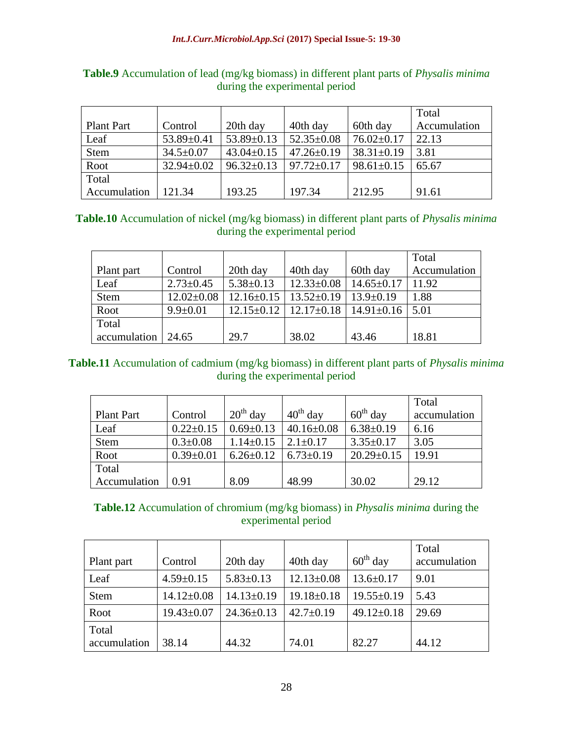|                   |                  |                  |                  |                  | Total        |
|-------------------|------------------|------------------|------------------|------------------|--------------|
| <b>Plant Part</b> | Control          | 20th day         | 40th day         | 60th day         | Accumulation |
| Leaf              | $53.89 \pm 0.41$ | $53.89 \pm 0.13$ | $52.35 \pm 0.08$ | $76.02 \pm 0.17$ | 22.13        |
| <b>Stem</b>       | $34.5 \pm 0.07$  | $43.04 \pm 0.15$ | $47.26 \pm 0.19$ | $38.31 \pm 0.19$ | 3.81         |
| Root              | $32.94 \pm 0.02$ | $96.32 \pm 0.13$ | $97.72 \pm 0.17$ | $98.61 \pm 0.15$ | 65.67        |
| Total             |                  |                  |                  |                  |              |
| Accumulation      | 121.34           | 193.25           | 197.34           | 212.95           | 91.61        |

# **Table.9** Accumulation of lead (mg/kg biomass) in different plant parts of *Physalis minima* during the experimental period

# **Table.10** Accumulation of nickel (mg/kg biomass) in different plant parts of *Physalis minima*  during the experimental period

|              |                  |                  |                                                         |                  | Total        |
|--------------|------------------|------------------|---------------------------------------------------------|------------------|--------------|
| Plant part   | Control          | 20th day         | 40th day                                                | 60th day         | Accumulation |
| Leaf         | $2.73 \pm 0.45$  | $5.38 \pm 0.13$  | $12.33 \pm 0.08$                                        | $14.65 \pm 0.17$ | 11.92        |
| <b>Stem</b>  | $12.02 \pm 0.08$ | $12.16 \pm 0.15$ | $13.52 \pm 0.19$                                        | $13.9 \pm 0.19$  | 1.88         |
| Root         | $9.9 \pm 0.01$   |                  | $12.15\pm0.12$   $12.17\pm0.18$   $14.91\pm0.16$   5.01 |                  |              |
| Total        |                  |                  |                                                         |                  |              |
| accumulation | 124.65           | 29.7             | 38.02                                                   | 43.46            | 18.81        |

## **Table.11** Accumulation of cadmium (mg/kg biomass) in different plant parts of *Physalis minima* during the experimental period

|                   |                 |                 |                      |                  | Total        |
|-------------------|-----------------|-----------------|----------------------|------------------|--------------|
| <b>Plant Part</b> | Control         | $20th$ day      | $40^{\text{th}}$ day | $60th$ day       | accumulation |
| Leaf              | $0.22 \pm 0.15$ | $0.69 \pm 0.13$ | $40.16 \pm 0.08$     | $6.38 \pm 0.19$  | 6.16         |
| <b>Stem</b>       | $0.3 \pm 0.08$  | $1.14 \pm 0.15$ | $2.1 \pm 0.17$       | $3.35 \pm 0.17$  | 3.05         |
| Root              | $0.39 \pm 0.01$ | $6.26 \pm 0.12$ | $6.73 \pm 0.19$      | $20.29 \pm 0.15$ | 19.91        |
| Total             |                 |                 |                      |                  |              |
| Accumulation      | 0.91            | 8.09            | 48.99                | 30.02            | 29.12        |

# **Table.12** Accumulation of chromium (mg/kg biomass) in *Physalis minima* during the experimental period

| Plant part            | Control          | 20th day         | 40th day         | $60th$ day       | Total<br>accumulation |
|-----------------------|------------------|------------------|------------------|------------------|-----------------------|
| Leaf                  | $4.59 \pm 0.15$  | $5.83 \pm 0.13$  | $12.13 \pm 0.08$ | $13.6 \pm 0.17$  | 9.01                  |
| <b>Stem</b>           | $14.12 \pm 0.08$ | $14.13 \pm 0.19$ | $19.18 \pm 0.18$ | $19.55 \pm 0.19$ | 5.43                  |
| Root                  | $19.43 \pm 0.07$ | $24.36 \pm 0.13$ | $42.7 \pm 0.19$  | $49.12 \pm 0.18$ | 29.69                 |
| Total<br>accumulation | 38.14            | 44.32            | 74.01            | 82.27            | 44.12                 |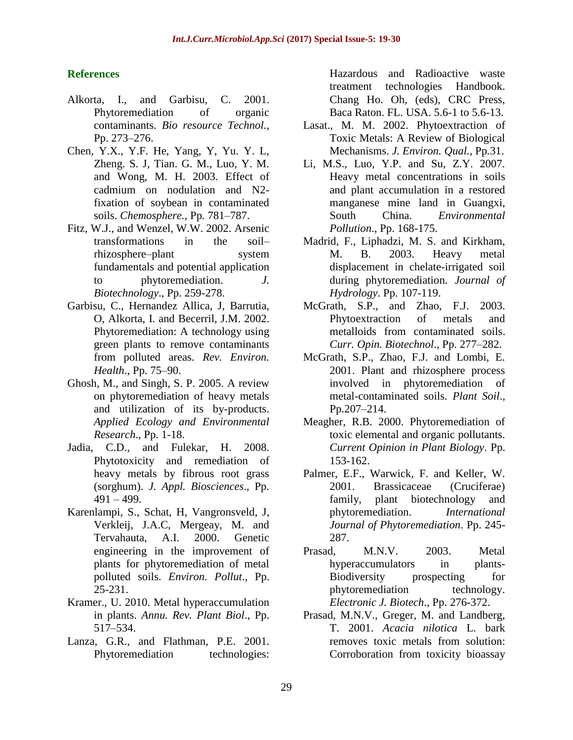# **References**

- Alkorta, I., and Garbisu, C. 2001. Phytoremediation of organic contaminants. *Bio resource Technol.*, Pp. 273–276.
- Chen, Y.X., Y.F. He, Yang, Y, Yu. Y. L, Zheng. S. J, Tian. G. M., Luo, Y. M. and Wong, M. H. 2003. Effect of cadmium on nodulation and N2 fixation of soybean in contaminated soils. *Chemosphere.,* Pp*.* 781–787.
- Fitz, W.J., and Wenzel, W.W. 2002. Arsenic transformations in the soil– rhizosphere–plant system fundamentals and potential application to phytoremediation. *J. Biotechnology*., Pp. 259-278.
- Garbisu, C., Hernandez Allica, J, Barrutia, O, Alkorta, I. and Becerril, J.M. 2002. Phytoremediation: A technology using green plants to remove contaminants from polluted areas. *Rev. Environ. Health*., Pp. 75–90.
- Ghosh, M., and Singh, S. P. 2005. A review on phytoremediation of heavy metals and utilization of its by-products. *Applied Ecology and Environmental Research*., Pp. 1-18.
- Jadia, C.D., and Fulekar, H. 2008. Phytotoxicity and remediation of heavy metals by fibrous root grass (sorghum). *J. Appl. Biosciences*., Pp. 491 – 499.
- Karenlampi, S., Schat, H, Vangronsveld, J, Verkleij, J.A.C, Mergeay, M. and Tervahauta, A.I. 2000. Genetic engineering in the improvement of plants for phytoremediation of metal polluted soils. *Environ. Pollut*., Pp. 25-231.
- Kramer., U. 2010. Metal hyperaccumulation in plants. *Annu. Rev. Plant Biol*., Pp. 517–534.
- Lanza, G.R., and Flathman, P.E. 2001. Phytoremediation technologies:

Hazardous and Radioactive waste treatment technologies Handbook. Chang Ho. Oh, (eds), CRC Press, Baca Raton. FL. USA. 5.6-1 to 5.6-13.

- Lasat., M. M. 2002. Phytoextraction of Toxic Metals: A Review of Biological Mechanisms. *J. Environ. Qual.,* Pp*.*31.
- Li, M.S., Luo, Y.P. and Su, Z.Y. 2007. Heavy metal concentrations in soils and plant accumulation in a restored manganese mine land in Guangxi, South China. *Environmental Pollution*., Pp. 168-175.
- Madrid, F., Liphadzi, M. S. and Kirkham, M. B. 2003. Heavy metal displacement in chelate-irrigated soil during phytoremediation*. Journal of Hydrology*. Pp. 107-119.
- McGrath, S.P., and Zhao, F.J. 2003. Phytoextraction of metals and metalloids from contaminated soils. *Curr. Opin. Biotechnol*., Pp. 277–282.
- McGrath, S.P., Zhao, F.J. and Lombi, E. 2001. Plant and rhizosphere process involved in phytoremediation of metal-contaminated soils. *Plant Soil*., Pp.207–214.
- Meagher, R.B. 2000. Phytoremediation of toxic elemental and organic pollutants. *Current Opinion in Plant Biology*. Pp. 153-162.
- Palmer, E.F., Warwick, F. and Keller, W. 2001. Brassicaceae (Cruciferae) family, plant biotechnology and phytoremediation. *International Journal of Phytoremediation*. Pp. 245- 287.
- Prasad, M.N.V. 2003. Metal hyperaccumulators in plants-Biodiversity prospecting for phytoremediation technology. *Electronic J. Biotech*., Pp. 276-372.
- Prasad, M.N.V., Greger, M. and Landberg, T. 2001. *Acacia nilotica* L. bark removes toxic metals from solution: Corroboration from toxicity bioassay